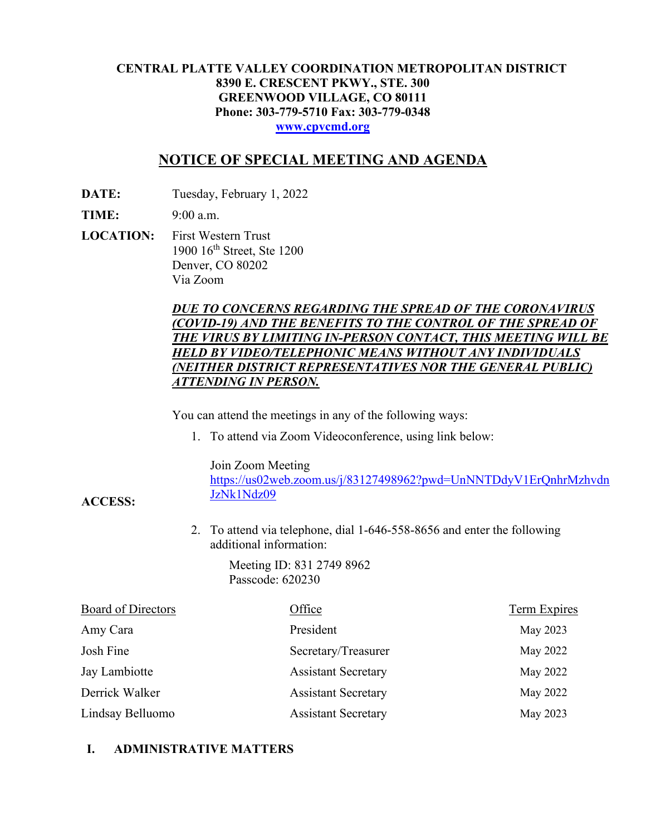#### **CENTRAL PLATTE VALLEY COORDINATION METROPOLITAN DISTRICT 8390 E. CRESCENT PKWY., STE. 300 GREENWOOD VILLAGE, CO 80111 Phone: 303-779-5710 Fax: 303-779-0348 [www.cpvcmd.org](http://www.cpvcmd.org/)**

# **NOTICE OF SPECIAL MEETING AND AGENDA**

**DATE:** Tuesday, February 1, 2022

**TIME:** 9:00 a.m.

**ACCESS:**

**LOCATION:** First Western Trust 1900 16<sup>th</sup> Street, Ste 1200 Denver, CO 80202 Via Zoom

#### *DUE TO CONCERNS REGARDING THE SPREAD OF THE CORONAVIRUS (COVID-19) AND THE BENEFITS TO THE CONTROL OF THE SPREAD OF THE VIRUS BY LIMITING IN-PERSON CONTACT, THIS MEETING WILL BE HELD BY VIDEO/TELEPHONIC MEANS WITHOUT ANY INDIVIDUALS (NEITHER DISTRICT REPRESENTATIVES NOR THE GENERAL PUBLIC) ATTENDING IN PERSON.*

You can attend the meetings in any of the following ways:

1. To attend via Zoom Videoconference, using link below:

Join Zoom Meeting

[https://us02web.zoom.us/j/83127498962?pwd=UnNNTDdyV1ErQnhrMzhvdn](https://nam11.safelinks.protection.outlook.com/?url=https%3A%2F%2Fus02web.zoom.us%2Fj%2F83127498962%3Fpwd%3DUnNNTDdyV1ErQnhrMzhvdnJzNk1Ndz09&data=04%7C01%7CRachel.alles%40claconnect.com%7C515b8a3a5bb149f0483608d9bfe9225c%7C4aaa468e93ba4ee3ab9f6a247aa3ade0%7C0%7C0%7C637751830440162010%7CUnknown%7CTWFpbGZsb3d8eyJWIjoiMC4wLjAwMDAiLCJQIjoiV2luMzIiLCJBTiI6Ik1haWwiLCJXVCI6Mn0%3D%7C1000&sdata=52L7UuwlopVA0rXq4v79MPjtXkMJTQPWRs1BvoYRINs%3D&reserved=0) [JzNk1Ndz09](https://nam11.safelinks.protection.outlook.com/?url=https%3A%2F%2Fus02web.zoom.us%2Fj%2F83127498962%3Fpwd%3DUnNNTDdyV1ErQnhrMzhvdnJzNk1Ndz09&data=04%7C01%7CRachel.alles%40claconnect.com%7C515b8a3a5bb149f0483608d9bfe9225c%7C4aaa468e93ba4ee3ab9f6a247aa3ade0%7C0%7C0%7C637751830440162010%7CUnknown%7CTWFpbGZsb3d8eyJWIjoiMC4wLjAwMDAiLCJQIjoiV2luMzIiLCJBTiI6Ik1haWwiLCJXVCI6Mn0%3D%7C1000&sdata=52L7UuwlopVA0rXq4v79MPjtXkMJTQPWRs1BvoYRINs%3D&reserved=0)

2. To attend via telephone, dial 1-646-558-8656 and enter the following additional information:

> Meeting ID: 831 2749 8962 Passcode: 620230

| <b>Board of Directors</b> | Office                     | <b>Term Expires</b> |
|---------------------------|----------------------------|---------------------|
| Amy Cara                  | President                  | May 2023            |
| Josh Fine                 | Secretary/Treasurer        | May 2022            |
| Jay Lambiotte             | <b>Assistant Secretary</b> | May 2022            |
| Derrick Walker            | <b>Assistant Secretary</b> | May 2022            |
| Lindsay Belluomo          | <b>Assistant Secretary</b> | May 2023            |

## **I. ADMINISTRATIVE MATTERS**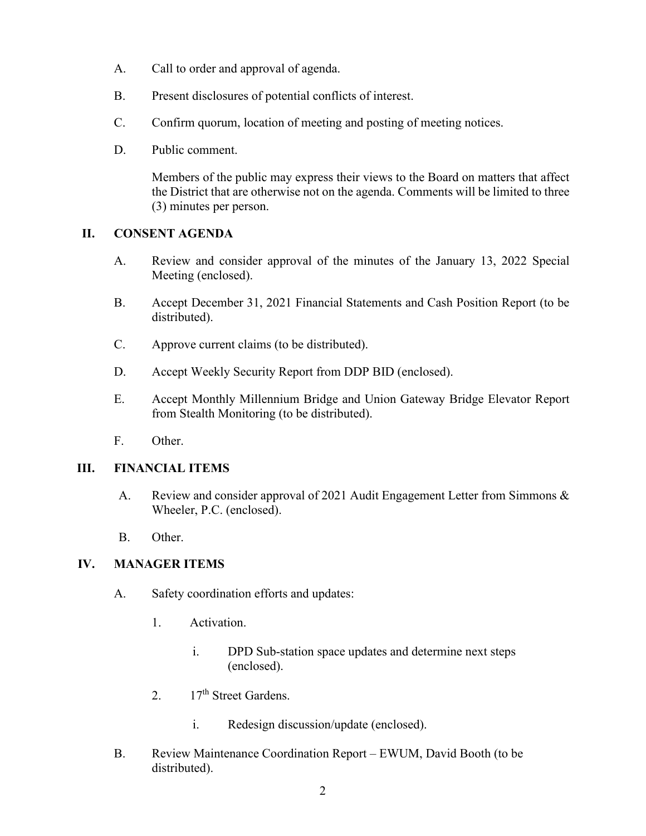- A. Call to order and approval of agenda.
- B. Present disclosures of potential conflicts of interest.
- C. Confirm quorum, location of meeting and posting of meeting notices.
- D. Public comment.

Members of the public may express their views to the Board on matters that affect the District that are otherwise not on the agenda. Comments will be limited to three (3) minutes per person.

## **II. CONSENT AGENDA**

- A. Review and consider approval of the minutes of the January 13, 2022 Special Meeting (enclosed).
- B. Accept December 31, 2021 Financial Statements and Cash Position Report (to be distributed).
- C. Approve current claims (to be distributed).
- D. Accept Weekly Security Report from DDP BID (enclosed).
- E. Accept Monthly Millennium Bridge and Union Gateway Bridge Elevator Report from Stealth Monitoring (to be distributed).
- F. Other.

## **III. FINANCIAL ITEMS**

- A. Review and consider approval of 2021 Audit Engagement Letter from Simmons & Wheeler, P.C. (enclosed).
- B. Other.

## **IV. MANAGER ITEMS**

- A. Safety coordination efforts and updates:
	- 1. Activation.
		- i. DPD Sub-station space updates and determine next steps (enclosed).
	- 2.  $17<sup>th</sup>$  Street Gardens.
		- i. Redesign discussion/update (enclosed).
- B. Review Maintenance Coordination Report EWUM, David Booth (to be distributed).